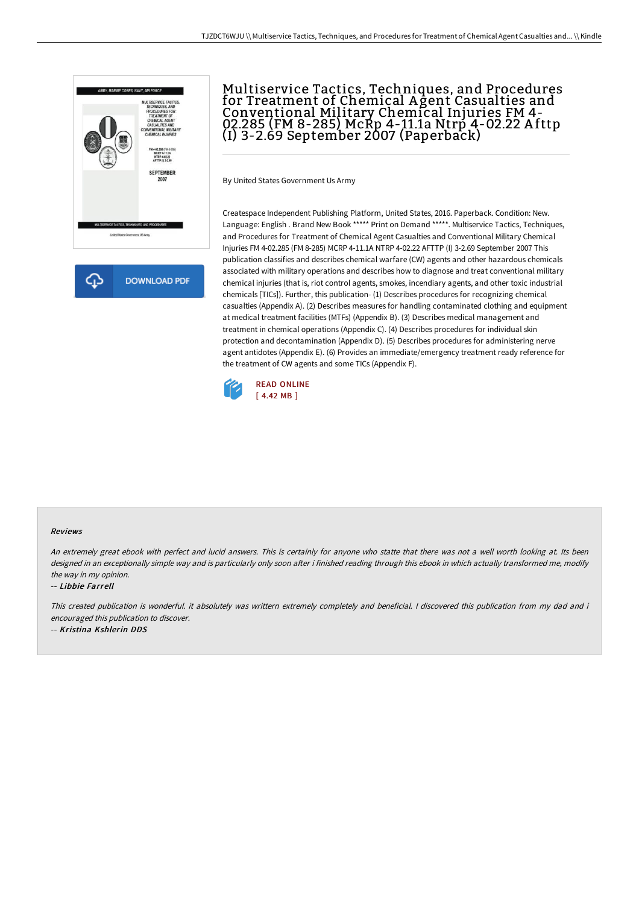

**DOWNLOAD PDF** 

# Multiservice Tactics, Techniques, and Procedures for Treatment of Chemical A gent Casualties and Conventional Military Chemical Injuries FM 4- 02.285 (FM 8-285) McRp 4-11.1a Ntrp 4-02.22 A fttp (I) 3-2.69 September 2007 (Paperback)

By United States Government Us Army

Createspace Independent Publishing Platform, United States, 2016. Paperback. Condition: New. Language: English . Brand New Book \*\*\*\*\* Print on Demand \*\*\*\*\*. Multiservice Tactics, Techniques, and Procedures for Treatment of Chemical Agent Casualties and Conventional Military Chemical Injuries FM 4-02.285 (FM 8-285) MCRP 4-11.1A NTRP 4-02.22 AFTTP (I) 3-2.69 September 2007 This publication classifies and describes chemical warfare (CW) agents and other hazardous chemicals associated with military operations and describes how to diagnose and treat conventional military chemical injuries (that is, riot control agents, smokes, incendiary agents, and other toxic industrial chemicals [TICs]). Further, this publication- (1) Describes procedures for recognizing chemical casualties (Appendix A). (2) Describes measures for handling contaminated clothing and equipment at medical treatment facilities (MTFs) (Appendix B). (3) Describes medical management and treatment in chemical operations (Appendix C). (4) Describes procedures for individual skin protection and decontamination (Appendix D). (5) Describes procedures for administering nerve agent antidotes (Appendix E). (6) Provides an immediate/emergency treatment ready reference for the treatment of CW agents and some TICs (Appendix F).



#### Reviews

An extremely great ebook with perfect and lucid answers. This is certainly for anyone who statte that there was not a well worth looking at. Its been designed in an exceptionally simple way and is particularly only soon after i finished reading through this ebook in which actually transformed me, modify the way in my opinion.

-- Libbie Farrell

This created publication is wonderful. it absolutely was writtern extremely completely and beneficial. I discovered this publication from my dad and i encouraged this publication to discover.

-- Kristina Kshlerin DDS